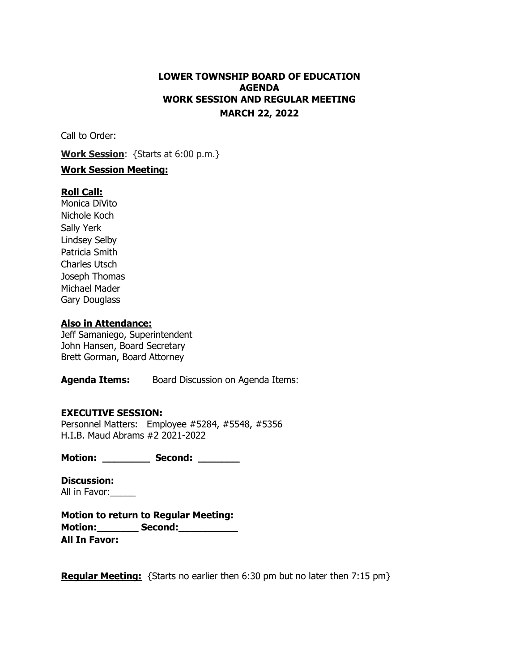# **LOWER TOWNSHIP BOARD OF EDUCATION AGENDA WORK SESSION AND REGULAR MEETING MARCH 22, 2022**

Call to Order:

**Work Session**: {Starts at 6:00 p.m.}

# **Work Session Meeting:**

# **Roll Call:**

Monica DiVito Nichole Koch Sally Yerk Lindsey Selby Patricia Smith Charles Utsch Joseph Thomas Michael Mader Gary Douglass

### **Also in Attendance:**

Jeff Samaniego, Superintendent John Hansen, Board Secretary Brett Gorman, Board Attorney

**Agenda Items:** Board Discussion on Agenda Items:

# **EXECUTIVE SESSION:**

Personnel Matters: Employee #5284, #5548, #5356 H.I.B. Maud Abrams #2 2021-2022

**Motion: \_\_\_\_\_\_\_\_ Second: \_\_\_\_\_\_\_** 

**Discussion:** All in Favor:

**Motion to return to Regular Meeting: Motion:\_\_\_\_\_\_\_ Second:\_\_\_\_\_\_\_\_\_\_ All In Favor:**

**Regular Meeting:** {Starts no earlier then 6:30 pm but no later then 7:15 pm}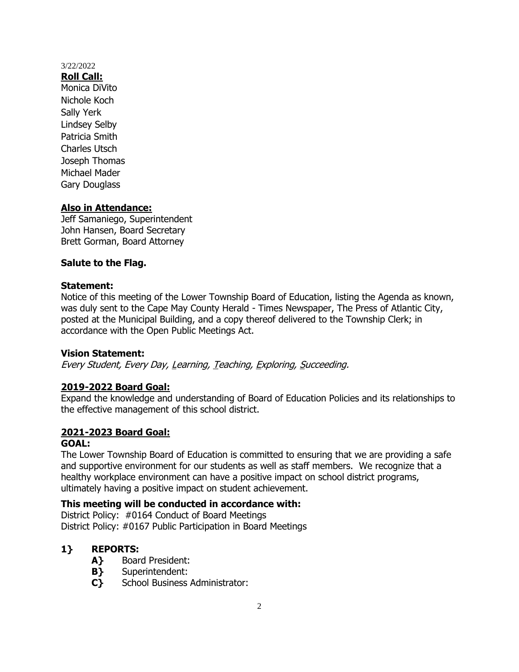**Roll Call:** Monica DiVito Nichole Koch Sally Yerk Lindsey Selby Patricia Smith Charles Utsch Joseph Thomas Michael Mader Gary Douglass

# **Also in Attendance:**

Jeff Samaniego, Superintendent John Hansen, Board Secretary Brett Gorman, Board Attorney

# **Salute to the Flag.**

### **Statement:**

Notice of this meeting of the Lower Township Board of Education, listing the Agenda as known, was duly sent to the Cape May County Herald - Times Newspaper, The Press of Atlantic City, posted at the Municipal Building, and a copy thereof delivered to the Township Clerk; in accordance with the Open Public Meetings Act.

# **Vision Statement:**

Every Student, Every Day, Learning, Teaching, Exploring, Succeeding.

# **2019-2022 Board Goal:**

Expand the knowledge and understanding of Board of Education Policies and its relationships to the effective management of this school district.

# **2021-2023 Board Goal:**

#### **GOAL:**

The Lower Township Board of Education is committed to ensuring that we are providing a safe and supportive environment for our students as well as staff members. We recognize that a healthy workplace environment can have a positive impact on school district programs, ultimately having a positive impact on student achievement.

# **This meeting will be conducted in accordance with:**

District Policy: #0164 Conduct of Board Meetings District Policy: #0167 Public Participation in Board Meetings

# **1} REPORTS:**

- **A}** Board President:
- **B}** Superintendent:
- **C}** School Business Administrator: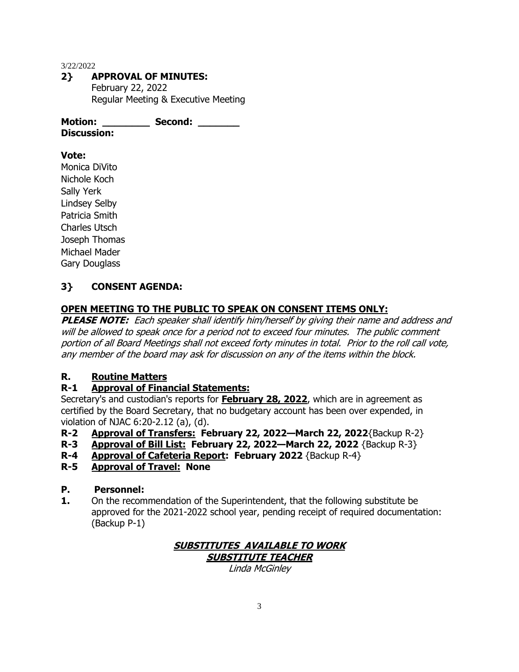# **2} APPROVAL OF MINUTES:**

February 22, 2022 Regular Meeting & Executive Meeting

**Motion: \_\_\_\_\_\_\_\_ Second: \_\_\_\_\_\_\_ Discussion:**

# **Vote:**

Monica DiVito Nichole Koch Sally Yerk Lindsey Selby Patricia Smith Charles Utsch Joseph Thomas Michael Mader Gary Douglass

# **3} CONSENT AGENDA:**

# **OPEN MEETING TO THE PUBLIC TO SPEAK ON CONSENT ITEMS ONLY:**

**PLEASE NOTE:** Each speaker shall identify him/herself by giving their name and address and will be allowed to speak once for a period not to exceed four minutes. The public comment portion of all Board Meetings shall not exceed forty minutes in total. Prior to the roll call vote, any member of the board may ask for discussion on any of the items within the block.

# **R. Routine Matters**

# **R-1 Approval of Financial Statements:**

Secretary's and custodian's reports for **February 28, 2022**, which are in agreement as certified by the Board Secretary, that no budgetary account has been over expended, in violation of NJAC 6:20-2.12 (a), (d).

- **R-2 Approval of Transfers: February 22, 2022—March 22, 2022**{Backup R-2}
- **R-3 Approval of Bill List: February 22, 2022—March 22, 2022** {Backup R-3}
- **R-4 Approval of Cafeteria Report: February 2022** {Backup R-4}
- **R-5 Approval of Travel: None**

# **P. Personnel:**

**1.** On the recommendation of the Superintendent, that the following substitute be approved for the 2021-2022 school year, pending receipt of required documentation: (Backup P-1)

### **SUBSTITUTES AVAILABLE TO WORK SUBSTITUTE TEACHER**

Linda McGinley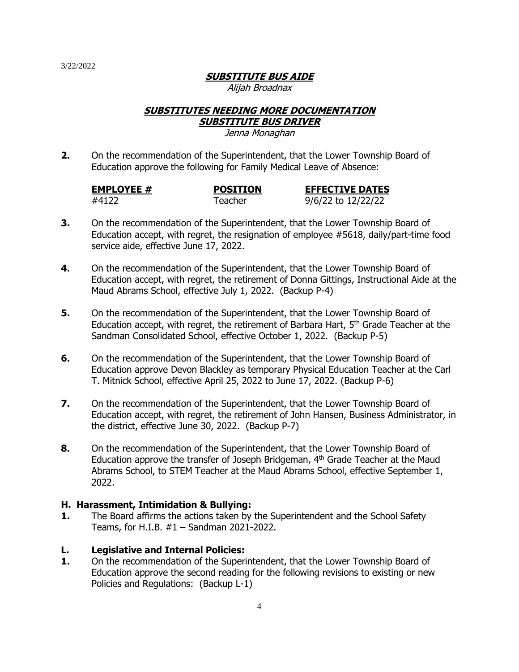# **SUBSTITUTE BUS AIDE**

Alijah Broadnax

#### **SUBSTITUTES NEEDING MORE DOCUMENTATION SUBSTITUTE BUS DRIVER**

Jenna Monaghan

**2.** On the recommendation of the Superintendent, that the Lower Township Board of Education approve the following for Family Medical Leave of Absence:

| <b>EMPLOYEE #</b> | <b>POSITION</b> | <b>EFFECTIVE DATES</b> |
|-------------------|-----------------|------------------------|
| #4122             | Teacher         | 9/6/22 to 12/22/22     |

- **3.** On the recommendation of the Superintendent, that the Lower Township Board of Education accept, with regret, the resignation of employee #5618, daily/part-time food service aide, effective June 17, 2022.
- **4.** On the recommendation of the Superintendent, that the Lower Township Board of Education accept, with regret, the retirement of Donna Gittings, Instructional Aide at the Maud Abrams School, effective July 1, 2022. (Backup P-4)
- **5.** On the recommendation of the Superintendent, that the Lower Township Board of Education accept, with regret, the retirement of Barbara Hart,  $5<sup>th</sup>$  Grade Teacher at the Sandman Consolidated School, effective October 1, 2022. (Backup P-5)
- **6.** On the recommendation of the Superintendent, that the Lower Township Board of Education approve Devon Blackley as temporary Physical Education Teacher at the Carl T. Mitnick School, effective April 25, 2022 to June 17, 2022. (Backup P-6)
- **7.** On the recommendation of the Superintendent, that the Lower Township Board of Education accept, with regret, the retirement of John Hansen, Business Administrator, in the district, effective June 30, 2022. (Backup P-7)
- **8.** On the recommendation of the Superintendent, that the Lower Township Board of Education approve the transfer of Joseph Bridgeman,  $4<sup>th</sup>$  Grade Teacher at the Maud Abrams School, to STEM Teacher at the Maud Abrams School, effective September 1, 2022.

# **H. Harassment, Intimidation & Bullying:**

**1.** The Board affirms the actions taken by the Superintendent and the School Safety Teams, for H.I.B. #1 – Sandman 2021-2022.

# **L. Legislative and Internal Policies:**

**1.** On the recommendation of the Superintendent, that the Lower Township Board of Education approve the second reading for the following revisions to existing or new Policies and Regulations: (Backup L-1)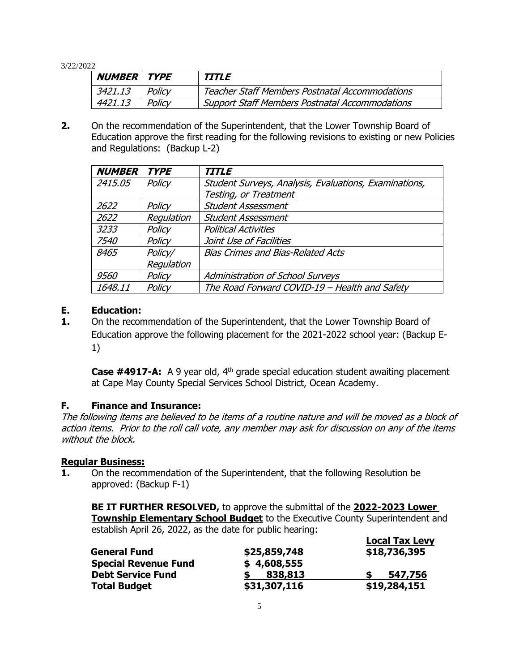| <b>NUMBER TYPE</b> |        | TITLE                                                 |
|--------------------|--------|-------------------------------------------------------|
| 3421.13            | Policy | <b>Teacher Staff Members Postnatal Accommodations</b> |
| 4421.13            | Policy | <b>Support Staff Members Postnatal Accommodations</b> |

**2.** On the recommendation of the Superintendent, that the Lower Township Board of Education approve the first reading for the following revisions to existing or new Policies and Regulations: (Backup L-2)

| <b>NUMBER</b> | <b>TYPE</b> | <b>TITLE</b>                                          |
|---------------|-------------|-------------------------------------------------------|
| 2415.05       | Policy      | Student Surveys, Analysis, Evaluations, Examinations, |
|               |             | Testing, or Treatment                                 |
| 2622          | Policy      | <b>Student Assessment</b>                             |
| 2622          | Regulation  | <b>Student Assessment</b>                             |
| 3233          | Policy      | <b>Political Activities</b>                           |
| 7540          | Policy      | Joint Use of Facilities                               |
| 8465          | Policy/     | <b>Bias Crimes and Bias-Related Acts</b>              |
|               | Regulation  |                                                       |
| <i>9560</i>   | Policy      | <b>Administration of School Surveys</b>               |
| 1648.11       | Policy      | The Road Forward COVID-19 - Health and Safety         |

# **E. Education:**

**1.** On the recommendation of the Superintendent, that the Lower Township Board of Education approve the following placement for the 2021-2022 school year: (Backup E-1)

**Case #4917-A:** A 9 year old, 4<sup>th</sup> grade special education student awaiting placement at Cape May County Special Services School District, Ocean Academy.

# **F. Finance and Insurance:**

The following items are believed to be items of a routine nature and will be moved as a block of action items. Prior to the roll call vote, any member may ask for discussion on any of the items without the block.

# **Regular Business:**

**1.** On the recommendation of the Superintendent, that the following Resolution be approved: (Backup F-1)

**BE IT FURTHER RESOLVED,** to approve the submittal of the **2022-2023 Lower Township Elementary School Budget** to the Executive County Superintendent and establish April 26, 2022, as the date for public hearing:

|                             |              | <b>Local Tax Levy</b> |
|-----------------------------|--------------|-----------------------|
| <b>General Fund</b>         | \$25,859,748 | \$18,736,395          |
| <b>Special Revenue Fund</b> | \$4,608,555  |                       |
| <b>Debt Service Fund</b>    | 838,813      | 547,756               |
| <b>Total Budget</b>         | \$31,307,116 | \$19,284,151          |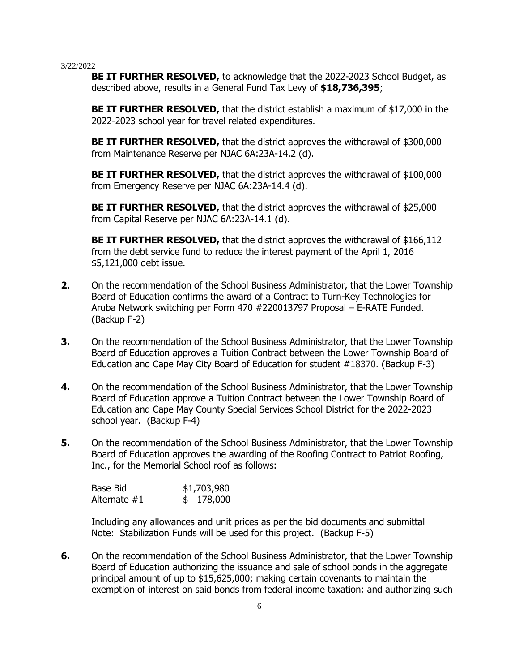**BE IT FURTHER RESOLVED,** to acknowledge that the 2022-2023 School Budget, as described above, results in a General Fund Tax Levy of **\$18,736,395**;

**BE IT FURTHER RESOLVED,** that the district establish a maximum of \$17,000 in the 2022-2023 school year for travel related expenditures.

**BE IT FURTHER RESOLVED,** that the district approves the withdrawal of \$300,000 from Maintenance Reserve per NJAC 6A:23A-14.2 (d).

**BE IT FURTHER RESOLVED,** that the district approves the withdrawal of \$100,000 from Emergency Reserve per NJAC 6A:23A-14.4 (d).

**BE IT FURTHER RESOLVED,** that the district approves the withdrawal of \$25,000 from Capital Reserve per NJAC 6A:23A-14.1 (d).

**BE IT FURTHER RESOLVED,** that the district approves the withdrawal of \$166,112 from the debt service fund to reduce the interest payment of the April 1, 2016 \$5,121,000 debt issue.

- **2.** On the recommendation of the School Business Administrator, that the Lower Township Board of Education confirms the award of a Contract to Turn-Key Technologies for Aruba Network switching per Form 470 #220013797 Proposal – E-RATE Funded. (Backup F-2)
- **3.** On the recommendation of the School Business Administrator, that the Lower Township Board of Education approves a Tuition Contract between the Lower Township Board of Education and Cape May City Board of Education for student #18370. (Backup F-3)
- **4.** On the recommendation of the School Business Administrator, that the Lower Township Board of Education approve a Tuition Contract between the Lower Township Board of Education and Cape May County Special Services School District for the 2022-2023 school year. (Backup F-4)
- **5.** On the recommendation of the School Business Administrator, that the Lower Township Board of Education approves the awarding of the Roofing Contract to Patriot Roofing, Inc., for the Memorial School roof as follows:

| Base Bid     | \$1,703,980 |
|--------------|-------------|
| Alternate #1 | \$178,000   |

Including any allowances and unit prices as per the bid documents and submittal Note: Stabilization Funds will be used for this project. (Backup F-5)

**6.** On the recommendation of the School Business Administrator, that the Lower Township Board of Education authorizing the issuance and sale of school bonds in the aggregate principal amount of up to \$15,625,000; making certain covenants to maintain the exemption of interest on said bonds from federal income taxation; and authorizing such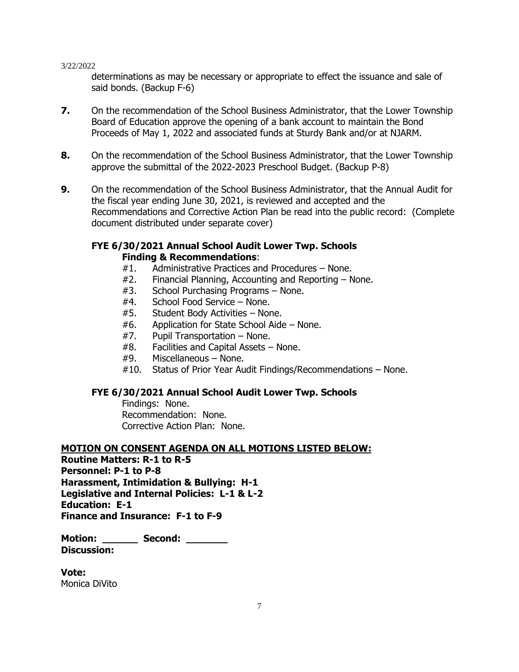determinations as may be necessary or appropriate to effect the issuance and sale of said bonds. (Backup F-6)

- **7.** On the recommendation of the School Business Administrator, that the Lower Township Board of Education approve the opening of a bank account to maintain the Bond Proceeds of May 1, 2022 and associated funds at Sturdy Bank and/or at NJARM.
- **8.** On the recommendation of the School Business Administrator, that the Lower Township approve the submittal of the 2022-2023 Preschool Budget. (Backup P-8)
- **9.** On the recommendation of the School Business Administrator, that the Annual Audit for the fiscal year ending June 30, 2021, is reviewed and accepted and the Recommendations and Corrective Action Plan be read into the public record: (Complete document distributed under separate cover)

# **FYE 6/30/2021 Annual School Audit Lower Twp. Schools Finding & Recommendations**:

- #1. Administrative Practices and Procedures None.
- #2. Financial Planning, Accounting and Reporting None.
- #3. School Purchasing Programs None.
- #4. School Food Service None.
- #5. Student Body Activities None.
- #6. Application for State School Aide None.
- #7. Pupil Transportation None.
- #8. Facilities and Capital Assets None.
- #9. Miscellaneous None.
- #10. Status of Prior Year Audit Findings/Recommendations None.

# **FYE 6/30/2021 Annual School Audit Lower Twp. Schools**

Findings: None. Recommendation: None. Corrective Action Plan: None.

# **MOTION ON CONSENT AGENDA ON ALL MOTIONS LISTED BELOW:**

**Routine Matters: R-1 to R-5 Personnel: P-1 to P-8 Harassment, Intimidation & Bullying: H-1 Legislative and Internal Policies: L-1 & L-2 Education: E-1 Finance and Insurance: F-1 to F-9**

**Motion: \_\_\_\_\_\_ Second: \_\_\_\_\_\_\_ Discussion:**

**Vote:** Monica DiVito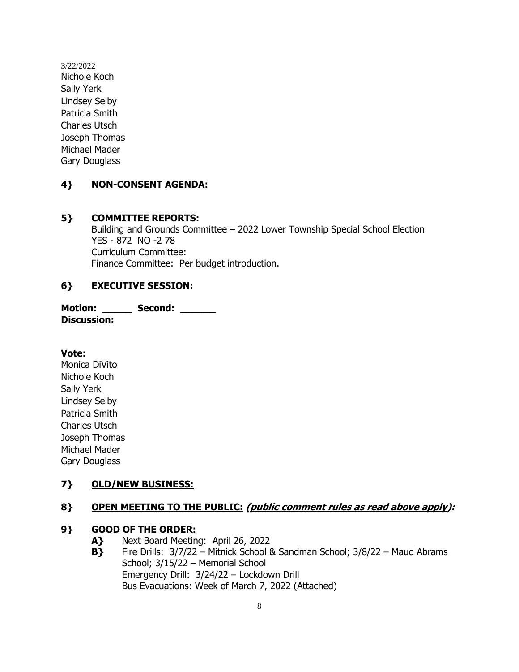3/22/2022 Nichole Koch Sally Yerk Lindsey Selby Patricia Smith Charles Utsch Joseph Thomas Michael Mader Gary Douglass

# **4} NON-CONSENT AGENDA:**

### **5} COMMITTEE REPORTS:**

Building and Grounds Committee – 2022 Lower Township Special School Election YES - 872 NO -2 78 Curriculum Committee: Finance Committee: Per budget introduction.

# **6} EXECUTIVE SESSION:**

**Motion: \_\_\_\_\_ Second: \_\_\_\_\_\_ Discussion:**

**Vote:**

Monica DiVito Nichole Koch Sally Yerk Lindsey Selby Patricia Smith Charles Utsch Joseph Thomas Michael Mader Gary Douglass

# **7} OLD/NEW BUSINESS:**

# **8} OPEN MEETING TO THE PUBLIC: (public comment rules as read above apply):**

#### **9} GOOD OF THE ORDER:**

- **A}** Next Board Meeting: April 26, 2022
- **B}** Fire Drills: 3/7/22 Mitnick School & Sandman School; 3/8/22 Maud Abrams School; 3/15/22 – Memorial School Emergency Drill: 3/24/22 – Lockdown Drill Bus Evacuations: Week of March 7, 2022 (Attached)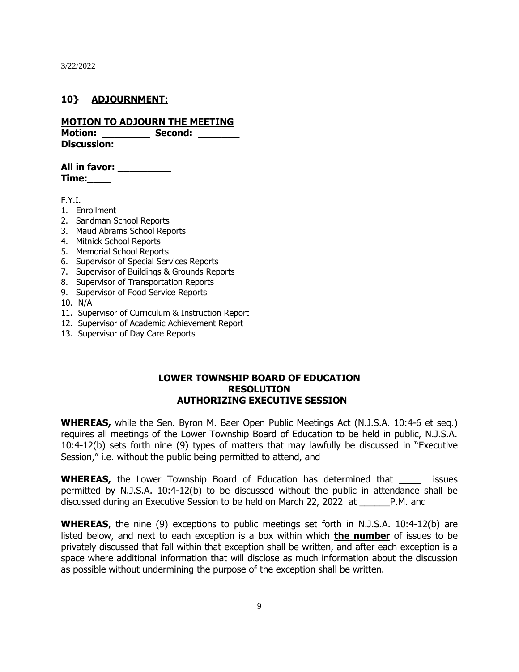### **10} ADJOURNMENT:**

#### **MOTION TO ADJOURN THE MEETING**

Motion: **Second:** Notion: **Discussion:**

**All in favor: \_\_\_\_\_\_\_\_\_ Time:\_\_\_\_**

F.Y.I.

- 1. Enrollment
- 2. Sandman School Reports
- 3. Maud Abrams School Reports
- 4. Mitnick School Reports
- 5. Memorial School Reports
- 6. Supervisor of Special Services Reports
- 7. Supervisor of Buildings & Grounds Reports
- 8. Supervisor of Transportation Reports
- 9. Supervisor of Food Service Reports
- 10. N/A
- 11. Supervisor of Curriculum & Instruction Report
- 12. Supervisor of Academic Achievement Report
- 13. Supervisor of Day Care Reports

#### **LOWER TOWNSHIP BOARD OF EDUCATION RESOLUTION AUTHORIZING EXECUTIVE SESSION**

**WHEREAS,** while the Sen. Byron M. Baer Open Public Meetings Act (N.J.S.A. 10:4-6 et seq.) requires all meetings of the Lower Township Board of Education to be held in public, N.J.S.A. 10:4-12(b) sets forth nine (9) types of matters that may lawfully be discussed in "Executive Session," i.e. without the public being permitted to attend, and

**WHEREAS,** the Lower Township Board of Education has determined that \_\_ \_ issues permitted by N.J.S.A. 10:4-12(b) to be discussed without the public in attendance shall be discussed during an Executive Session to be held on March 22, 2022 at \_\_\_\_\_\_P.M. and

**WHEREAS**, the nine (9) exceptions to public meetings set forth in N.J.S.A. 10:4-12(b) are listed below, and next to each exception is a box within which **the number** of issues to be privately discussed that fall within that exception shall be written, and after each exception is a space where additional information that will disclose as much information about the discussion as possible without undermining the purpose of the exception shall be written.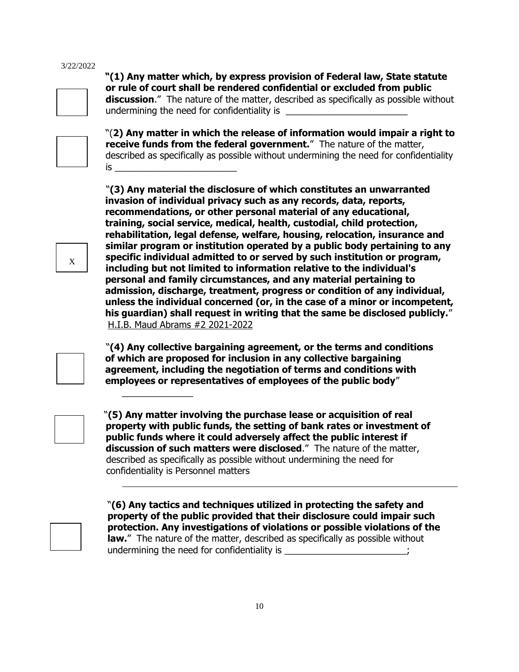

 **"(1) Any matter which, by express provision of Federal law, State statute or rule of court shall be rendered confidential or excluded from public discussion**." The nature of the matter, described as specifically as possible without undermining the need for confidentiality is



"(**2) Any matter in which the release of information would impair a right to receive funds from the federal government.**" The nature of the matter, described as specifically as possible without undermining the need for confidentiality is \_\_\_\_\_\_\_\_\_\_\_\_\_\_\_\_\_\_\_\_\_\_\_\_

 "**(3) Any material the disclosure of which constitutes an unwarranted invasion of individual privacy such as any records, data, reports, recommendations, or other personal material of any educational, training, social service, medical, health, custodial, child protection, rehabilitation, legal defense, welfare, housing, relocation, insurance and similar program or institution operated by a public body pertaining to any specific individual admitted to or served by such institution or program, including but not limited to information relative to the individual's personal and family circumstances, and any material pertaining to admission, discharge, treatment, progress or condition of any individual, unless the individual concerned (or, in the case of a minor or incompetent, his guardian) shall request in writing that the same be disclosed publicly.**" H.I.B. Maud Abrams #2 2021-2022

 "**(4) Any collective bargaining agreement, or the terms and conditions of which are proposed for inclusion in any collective bargaining agreement, including the negotiation of terms and conditions with employees or representatives of employees of the public body**"

\_\_\_\_\_\_\_\_\_\_\_\_\_\_

 "**(5) Any matter involving the purchase lease or acquisition of real property with public funds, the setting of bank rates or investment of public funds where it could adversely affect the public interest if discussion of such matters were disclosed**." The nature of the matter, described as specifically as possible without undermining the need for confidentiality is Personnel matters



 "**(6) Any tactics and techniques utilized in protecting the safety and property of the public provided that their disclosure could impair such protection. Any investigations of violations or possible violations of the law.**" The nature of the matter, described as specifically as possible without undermining the need for confidentiality is \_\_\_\_\_\_\_\_\_\_\_\_\_\_\_\_\_\_\_\_\_\_\_\_;

X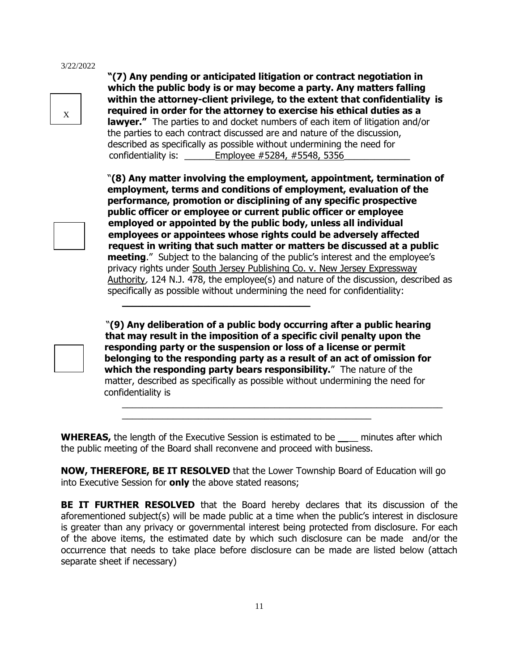X

 **"(7) Any pending or anticipated litigation or contract negotiation in which the public body is or may become a party. Any matters falling within the attorney-client privilege, to the extent that confidentiality is required in order for the attorney to exercise his ethical duties as a lawyer."** The parties to and docket numbers of each item of litigation and/or the parties to each contract discussed are and nature of the discussion, described as specifically as possible without undermining the need for confidentiality is:  $\qquad \qquad$  Employee #5284, #5548, 5356

 "**(8) Any matter involving the employment, appointment, termination of employment, terms and conditions of employment, evaluation of the performance, promotion or disciplining of any specific prospective public officer or employee or current public officer or employee employed or appointed by the public body, unless all individual employees or appointees whose rights could be adversely affected request in writing that such matter or matters be discussed at a public meeting**." Subject to the balancing of the public's interest and the employee's privacy rights under South Jersey Publishing Co. v. New Jersey Expressway Authority, 124 N.J. 478, the employee(s) and nature of the discussion, described as specifically as possible without undermining the need for confidentiality:

 "**(9) Any deliberation of a public body occurring after a public hearing that may result in the imposition of a specific civil penalty upon the responding party or the suspension or loss of a license or permit belonging to the responding party as a result of an act of omission for which the responding party bears responsibility.**" The nature of the matter, described as specifically as possible without undermining the need for confidentiality is

\_\_\_\_\_\_\_\_\_\_\_\_\_\_\_\_\_\_\_\_\_\_\_\_\_\_\_\_\_\_\_\_\_\_\_\_\_\_\_\_\_\_\_\_\_\_\_\_\_\_\_\_\_\_\_\_\_\_\_\_\_\_\_

**WHEREAS,** the length of the Executive Session is estimated to be \_\_\_\_ minutes after which the public meeting of the Board shall reconvene and proceed with business.

 $\frac{1}{2}$  ,  $\frac{1}{2}$  ,  $\frac{1}{2}$  ,  $\frac{1}{2}$  ,  $\frac{1}{2}$  ,  $\frac{1}{2}$  ,  $\frac{1}{2}$  ,  $\frac{1}{2}$  ,  $\frac{1}{2}$  ,  $\frac{1}{2}$  ,  $\frac{1}{2}$  ,  $\frac{1}{2}$  ,  $\frac{1}{2}$  ,  $\frac{1}{2}$  ,  $\frac{1}{2}$  ,  $\frac{1}{2}$  ,  $\frac{1}{2}$  ,  $\frac{1}{2}$  ,  $\frac{1$ 

 $\mathcal{L}_\text{max}$  , and the set of the set of the set of the set of the set of the set of the set of the set of the set of the set of the set of the set of the set of the set of the set of the set of the set of the set of the

**NOW, THEREFORE, BE IT RESOLVED** that the Lower Township Board of Education will go into Executive Session for **only** the above stated reasons;

**BE IT FURTHER RESOLVED** that the Board hereby declares that its discussion of the aforementioned subject(s) will be made public at a time when the public's interest in disclosure is greater than any privacy or governmental interest being protected from disclosure. For each of the above items, the estimated date by which such disclosure can be made and/or the occurrence that needs to take place before disclosure can be made are listed below (attach separate sheet if necessary)